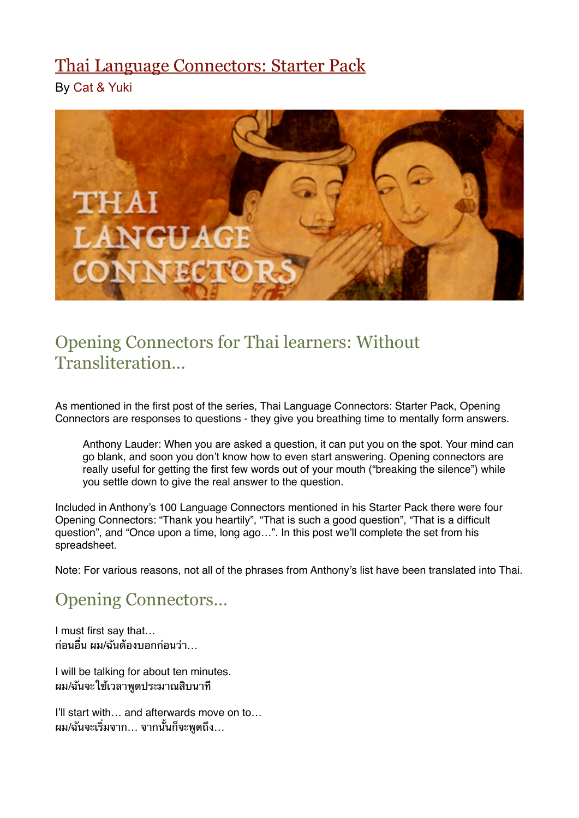# [Thai Language Connectors: Starter Pack](http://womenlearnthai.com/index.php/thai-language-connectors-opening-connectors)

By [Cat & Yuki](http://womenlearnthai.com/index.php/author/yuki/)



## Opening Connectors for Thai learners: Without **Transliteration**

As mentioned in the first post of the series, Thai Language Connectors: Starter Pack, Opening Connectors are responses to questions - they give you breathing time to mentally form answers.

Anthony Lauder: When you are asked a question, it can put you on the spot. Your mind can go blank, and soon you don't know how to even start answering. Opening connectors are really useful for getting the first few words out of your mouth ("breaking the silence") while you settle down to give the real answer to the question.

Included in Anthony's 100 Language Connectors mentioned in his Starter Pack there were four Opening Connectors: "Thank you heartily", "That is such a good question", "That is a difficult question", and "Once upon a time, long ago…". In this post we'll complete the set from his spreadsheet.

Note: For various reasons, not all of the phrases from Anthony's list have been translated into Thai.

# Opening Connectors…

I must first say that… ก่อนอื่น ผม/ฉันต้องบอกก่อนว่า

I will be talking for about ten minutes. ้ผม/ฉันจะใช้เวลาพดประมาณสิบนาที

I'll start with… and afterwards move on to… ผม/ฉันจะเริ่มจาก… จากนั้นก็จะพูดถึง…